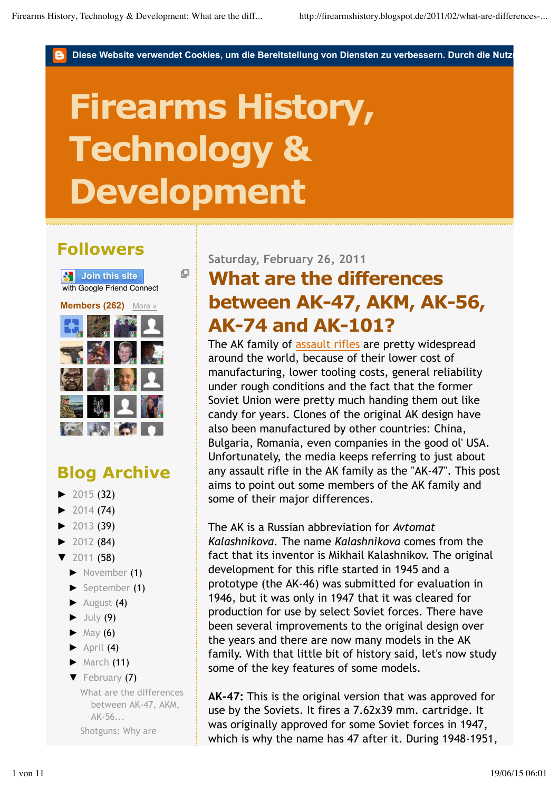Diese Website verwendet Cookies, um die Bereitstellung von Diensten zu verbessern. Durch die Nutz

# **Firearms History, Technology & Development**

O

## **Followers**



## **Blog Archive**

- $\blacktriangleright$  2015 (32)
- $\blacktriangleright$  2014 (74)
- ► 2013 (39)
- $\blacktriangleright$  2012 (84)
- ▼ 2011 (58)
	- ► November (1)
	- ► September (1)
	- ► August (4)
	- $\blacktriangleright$  July (9)
	- $\blacktriangleright$  May (6)
	- $\blacktriangleright$  April (4)
	- $\blacktriangleright$  March (11)
	- ▼ February (7)
		- What are the differences between AK-47, AKM, AK-56...

Shotguns: Why are

#### **Saturday, February 26, 2011**

# **What are the differences between AK-47, AKM, AK-56, AK-74 and AK-101?**

The AK family of assault rifles are pretty widespread around the world, because of their lower cost of manufacturing, lower tooling costs, general reliability under rough conditions and the fact that the former Soviet Union were pretty much handing them out like candy for years. Clones of the original AK design have also been manufactured by other countries: China, Bulgaria, Romania, even companies in the good ol' USA. Unfortunately, the media keeps referring to just about any assault rifle in the AK family as the "AK-47". This post aims to point out some members of the AK family and some of their major differences.

The AK is a Russian abbreviation for *Avtomat Kalashnikova.* The name *Kalashnikova* comes from the fact that its inventor is Mikhail Kalashnikov. The original development for this rifle started in 1945 and a prototype (the AK-46) was submitted for evaluation in 1946, but it was only in 1947 that it was cleared for production for use by select Soviet forces. There have been several improvements to the original design over the years and there are now many models in the AK family. With that little bit of history said, let's now study some of the key features of some models.

**AK-47:** This is the original version that was approved for use by the Soviets. It fires a 7.62x39 mm. cartridge. It was originally approved for some Soviet forces in 1947, which is why the name has 47 after it. During 1948-1951,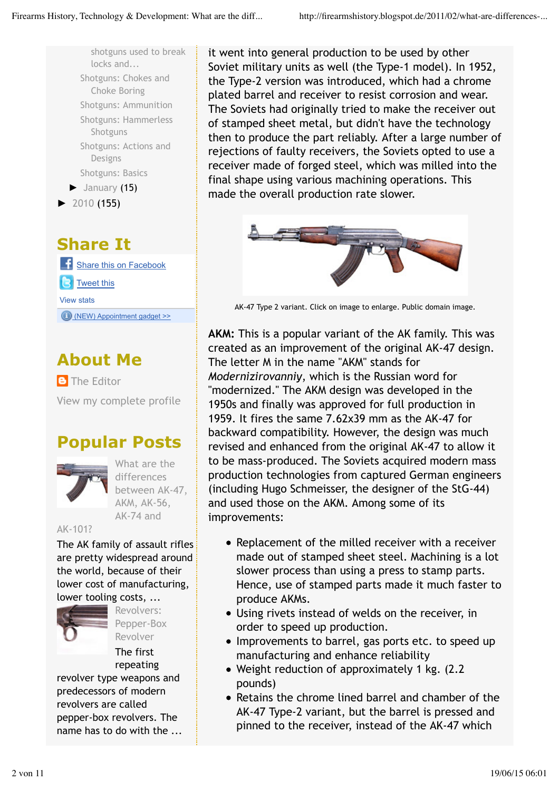

## **Share It**

**Share this on Facebook** Tweet this View stats (NEW) Appointment gadget >>

## **About Me**

**B** The Editor View my complete profile

## **Popular Posts**



What are the differences between AK-47, AKM, AK-56, AK-74 and

#### AK-101?

The AK family of assault rifles are pretty widespread around the world, because of their lower cost of manufacturing, lower tooling costs, ...



Revolvers: Pepper-Box Revolver

The first

repeating revolver type weapons and predecessors of modern revolvers are called pepper-box revolvers. The name has to do with the ... it went into general production to be used by other Soviet military units as well (the Type-1 model). In 1952, the Type-2 version was introduced, which had a chrome plated barrel and receiver to resist corrosion and wear. The Soviets had originally tried to make the receiver out of stamped sheet metal, but didn't have the technology then to produce the part reliably. After a large number of rejections of faulty receivers, the Soviets opted to use a receiver made of forged steel, which was milled into the final shape using various machining operations. This made the overall production rate slower.



AK-47 Type 2 variant. Click on image to enlarge. Public domain image.

**AKM:** This is a popular variant of the AK family. This was created as an improvement of the original AK-47 design. The letter M in the name "AKM" stands for *Modernizirovanniy*, which is the Russian word for "modernized." The AKM design was developed in the 1950s and finally was approved for full production in 1959. It fires the same 7.62x39 mm as the AK-47 for backward compatibility. However, the design was much revised and enhanced from the original AK-47 to allow it to be mass-produced. The Soviets acquired modern mass production technologies from captured German engineers (including Hugo Schmeisser, the designer of the StG-44) and used those on the AKM. Among some of its improvements:

- Replacement of the milled receiver with a receiver made out of stamped sheet steel. Machining is a lot slower process than using a press to stamp parts. Hence, use of stamped parts made it much faster to produce AKMs.
- Using rivets instead of welds on the receiver, in order to speed up production.
- Improvements to barrel, gas ports etc. to speed up manufacturing and enhance reliability
- Weight reduction of approximately 1 kg. (2.2 pounds)
- Retains the chrome lined barrel and chamber of the AK-47 Type-2 variant, but the barrel is pressed and pinned to the receiver, instead of the AK-47 which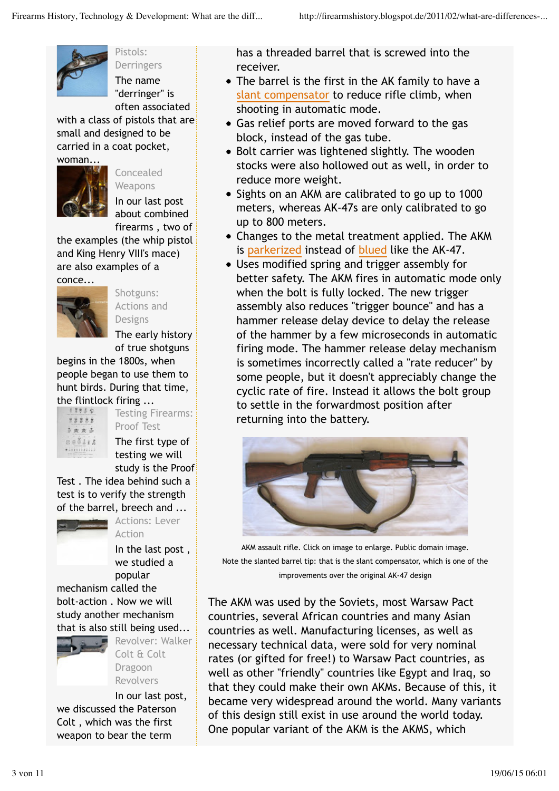

Pistols: Derringers

The name "derringer" is often associated

with a class of pistols that are small and designed to be carried in a coat pocket, woman...



Concealed **Weapons** 

In our last post about combined firearms , two of

the examples (the whip pistol and King Henry VIII's mace) are also examples of a



Shotguns: Actions and Designs

The early history of true shotguns

begins in the 1800s, when people began to use them to hunt birds. During that time, the flintlock firing ...



Testing Firearms: Proof Test The first type of testing we will

study is the Proof Test . The idea behind such a test is to verify the strength of the barrel, breech and ...



Actions: Lever Action

In the last post , we studied a popular

mechanism called the bolt-action . Now we will study another mechanism that is also still being used...



Revolver: Walker Colt & Colt Dragoon Revolvers

In our last post, we discussed the Paterson Colt , which was the first weapon to bear the term

has a threaded barrel that is screwed into the receiver.

- The barrel is the first in the AK family to have a slant compensator to reduce rifle climb, when shooting in automatic mode.
- Gas relief ports are moved forward to the gas block, instead of the gas tube.
- Bolt carrier was lightened slightly. The wooden stocks were also hollowed out as well, in order to reduce more weight.
- Sights on an AKM are calibrated to go up to 1000 meters, whereas AK-47s are only calibrated to go up to 800 meters.
- Changes to the metal treatment applied. The AKM is parkerized instead of blued like the AK-47.
- Uses modified spring and trigger assembly for better safety. The AKM fires in automatic mode only when the bolt is fully locked. The new trigger assembly also reduces "trigger bounce" and has a hammer release delay device to delay the release of the hammer by a few microseconds in automatic firing mode. The hammer release delay mechanism is sometimes incorrectly called a "rate reducer" by some people, but it doesn't appreciably change the cyclic rate of fire. Instead it allows the bolt group to settle in the forwardmost position after returning into the battery.



AKM assault rifle. Click on image to enlarge. Public domain image. Note the slanted barrel tip: that is the slant compensator, which is one of the improvements over the original AK-47 design

The AKM was used by the Soviets, most Warsaw Pact countries, several African countries and many Asian countries as well. Manufacturing licenses, as well as necessary technical data, were sold for very nominal rates (or gifted for free!) to Warsaw Pact countries, as well as other "friendly" countries like Egypt and Iraq, so that they could make their own AKMs. Because of this, it became very widespread around the world. Many variants of this design still exist in use around the world today. One popular variant of the AKM is the AKMS, which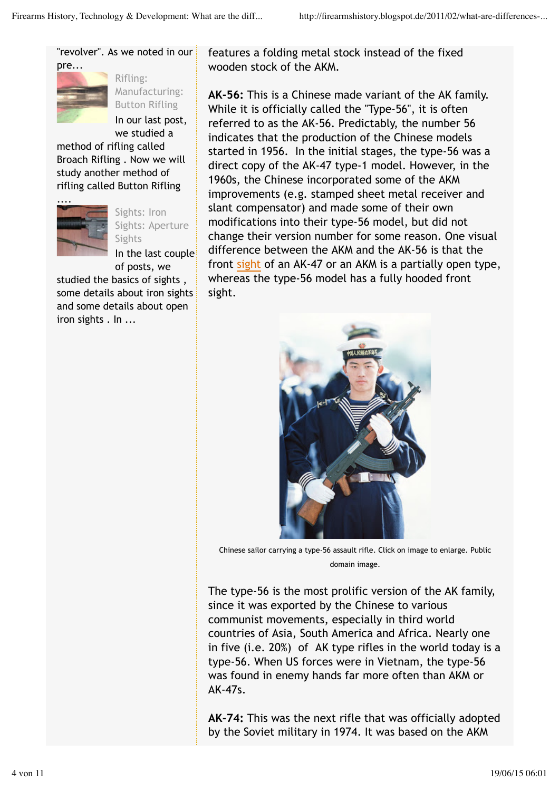"revolver". As we noted in our



Rifling: Manufacturing: Button Rifling

In our last post,

we studied a method of rifling called Broach Rifling . Now we will study another method of rifling called Button Rifling



Sights: Iron Sights: Aperture **Sights** 

In the last couple of posts, we

studied the basics of sights , some details about iron sights and some details about open iron sights . In ...

features a folding metal stock instead of the fixed wooden stock of the AKM.

**AK-56:** This is a Chinese made variant of the AK family. While it is officially called the "Type-56", it is often referred to as the AK-56. Predictably, the number 56 indicates that the production of the Chinese models started in 1956. In the initial stages, the type-56 was a direct copy of the AK-47 type-1 model. However, in the 1960s, the Chinese incorporated some of the AKM improvements (e.g. stamped sheet metal receiver and slant compensator) and made some of their own modifications into their type-56 model, but did not change their version number for some reason. One visual difference between the AKM and the AK-56 is that the front sight of an AK-47 or an AKM is a partially open type, whereas the type-56 model has a fully hooded front sight.



Chinese sailor carrying a type-56 assault rifle. Click on image to enlarge. Public domain image.

The type-56 is the most prolific version of the AK family, since it was exported by the Chinese to various communist movements, especially in third world countries of Asia, South America and Africa. Nearly one in five (i.e. 20%) of AK type rifles in the world today is a type-56. When US forces were in Vietnam, the type-56 was found in enemy hands far more often than AKM or AK-47s.

**AK-74:** This was the next rifle that was officially adopted by the Soviet military in 1974. It was based on the AKM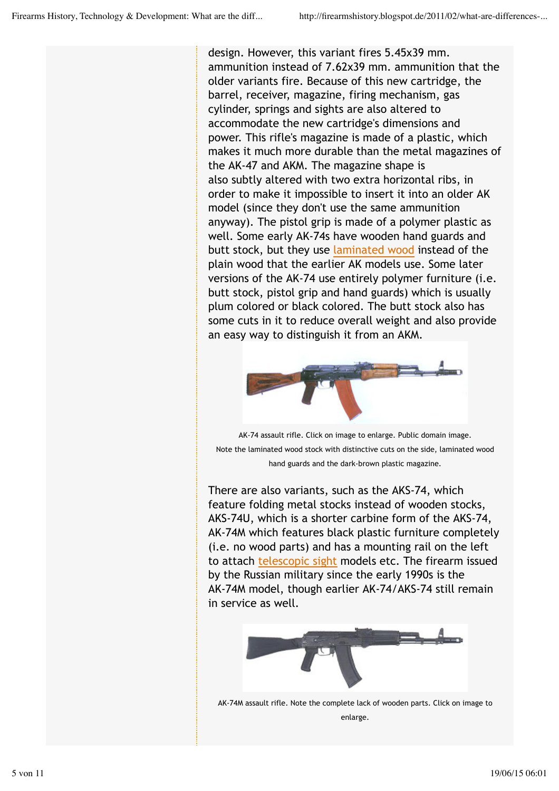design. However, this variant fires 5.45x39 mm. ammunition instead of 7.62x39 mm. ammunition that the older variants fire. Because of this new cartridge, the barrel, receiver, magazine, firing mechanism, gas cylinder, springs and sights are also altered to accommodate the new cartridge's dimensions and power. This rifle's magazine is made of a plastic, which makes it much more durable than the metal magazines of the AK-47 and AKM. The magazine shape is also subtly altered with two extra horizontal ribs, in order to make it impossible to insert it into an older AK model (since they don't use the same ammunition anyway). The pistol grip is made of a polymer plastic as well. Some early AK-74s have wooden hand guards and butt stock, but they use laminated wood instead of the plain wood that the earlier AK models use. Some later versions of the AK-74 use entirely polymer furniture (i.e. butt stock, pistol grip and hand guards) which is usually plum colored or black colored. The butt stock also has some cuts in it to reduce overall weight and also provide an easy way to distinguish it from an AKM.



AK-74 assault rifle. Click on image to enlarge. Public domain image. Note the laminated wood stock with distinctive cuts on the side, laminated wood hand guards and the dark-brown plastic magazine.

There are also variants, such as the AKS-74, which feature folding metal stocks instead of wooden stocks, AKS-74U, which is a shorter carbine form of the AKS-74, AK-74M which features black plastic furniture completely (i.e. no wood parts) and has a mounting rail on the left to attach telescopic sight models etc. The firearm issued by the Russian military since the early 1990s is the AK-74M model, though earlier AK-74/AKS-74 still remain in service as well.



AK-74M assault rifle. Note the complete lack of wooden parts. Click on image to enlarge.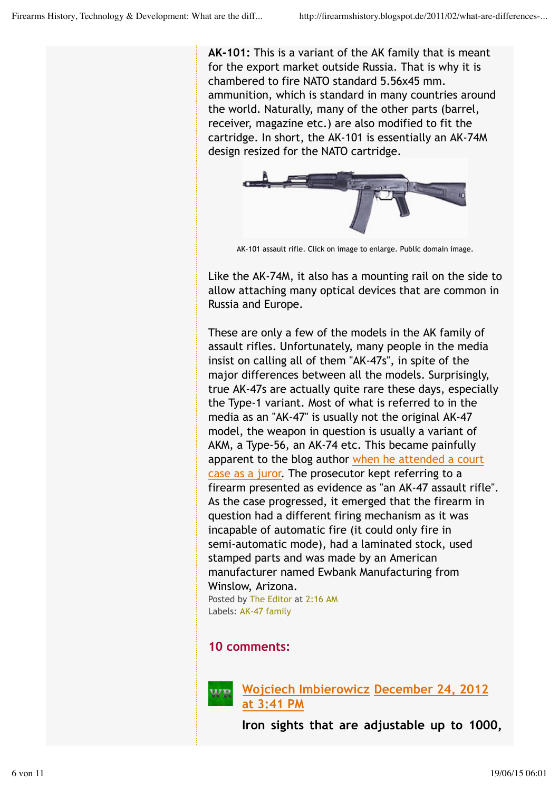**AK-101:** This is a variant of the AK family that is meant for the export market outside Russia. That is why it is chambered to fire NATO standard 5.56x45 mm. ammunition, which is standard in many countries around the world. Naturally, many of the other parts (barrel, receiver, magazine etc.) are also modified to fit the cartridge. In short, the AK-101 is essentially an AK-74M design resized for the NATO cartridge.



AK-101 assault rifle. Click on image to enlarge. Public domain image.

Like the AK-74M, it also has a mounting rail on the side to allow attaching many optical devices that are common in Russia and Europe.

These are only a few of the models in the AK family of assault rifles. Unfortunately, many people in the media insist on calling all of them "AK-47s", in spite of the major differences between all the models. Surprisingly, true AK-47s are actually quite rare these days, especially the Type-1 variant. Most of what is referred to in the media as an "AK-47" is usually not the original AK-47 model, the weapon in question is usually a variant of AKM, a Type-56, an AK-74 etc. This became painfully apparent to the blog author when he attended a court case as a juror. The prosecutor kept referring to a firearm presented as evidence as "an AK-47 assault rifle". As the case progressed, it emerged that the firearm in question had a different firing mechanism as it was incapable of automatic fire (it could only fire in semi-automatic mode), had a laminated stock, used stamped parts and was made by an American manufacturer named Ewbank Manufacturing from Winslow, Arizona. Posted by The Editor at 2:16 AM

Labels: AK-47 family

#### **10 comments:**



**Wojciech Imbierowicz December 24, 2012 at 3:41 PM**

**Iron sights that are adjustable up to 1000,**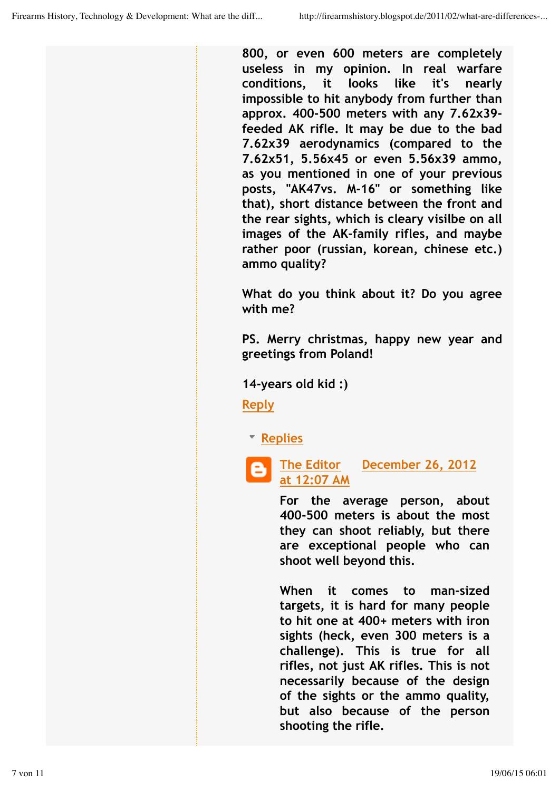**800, or even 600 meters are completely useless in my opinion. In real warfare conditions, it looks like it's nearly impossible to hit anybody from further than approx. 400-500 meters with any 7.62x39 feeded AK rifle. It may be due to the bad 7.62x39 aerodynamics (compared to the 7.62x51, 5.56x45 or even 5.56x39 ammo, as you mentioned in one of your previous posts, "AK47vs. M-16" or something like that), short distance between the front and the rear sights, which is cleary visilbe on all images of the AK-family rifles, and maybe rather poor (russian, korean, chinese etc.) ammo quality?**

**What do you think about it? Do you agree with me?**

**PS. Merry christmas, happy new year and greetings from Poland!**

**14-years old kid :)**

**Reply**

**Replies**

**The Editor December 26, 2012 at 12:07 AM**

**For the average person, about 400-500 meters is about the most they can shoot reliably, but there are exceptional people who can shoot well beyond this.**

**When it comes to man-sized targets, it is hard for many people to hit one at 400+ meters with iron sights (heck, even 300 meters is a challenge). This is true for all rifles, not just AK rifles. This is not necessarily because of the design of the sights or the ammo quality, but also because of the person shooting the rifle.**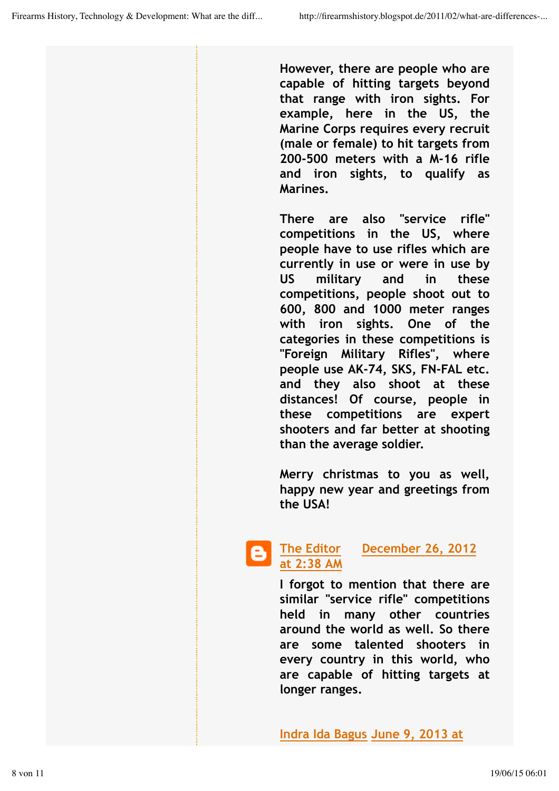**However, there are people who are capable of hitting targets beyond that range with iron sights. For example, here in the US, the Marine Corps requires every recruit (male or female) to hit targets from 200-500 meters with a M-16 rifle and iron sights, to qualify as Marines.**

**There are also "service rifle" competitions in the US, where people have to use rifles which are currently in use or were in use by US military and in these competitions, people shoot out to 600, 800 and 1000 meter ranges with iron sights. One of the categories in these competitions is "Foreign Military Rifles", where people use AK-74, SKS, FN-FAL etc. and they also shoot at these distances! Of course, people in these competitions are expert shooters and far better at shooting than the average soldier.**

**Merry christmas to you as well, happy new year and greetings from the USA!**

#### **The Editor December 26, 2012 at 2:38 AM**

**I forgot to mention that there are similar "service rifle" competitions held in many other countries around the world as well. So there are some talented shooters in every country in this world, who are capable of hitting targets at longer ranges.**

**Indra Ida Bagus June 9, 2013 at**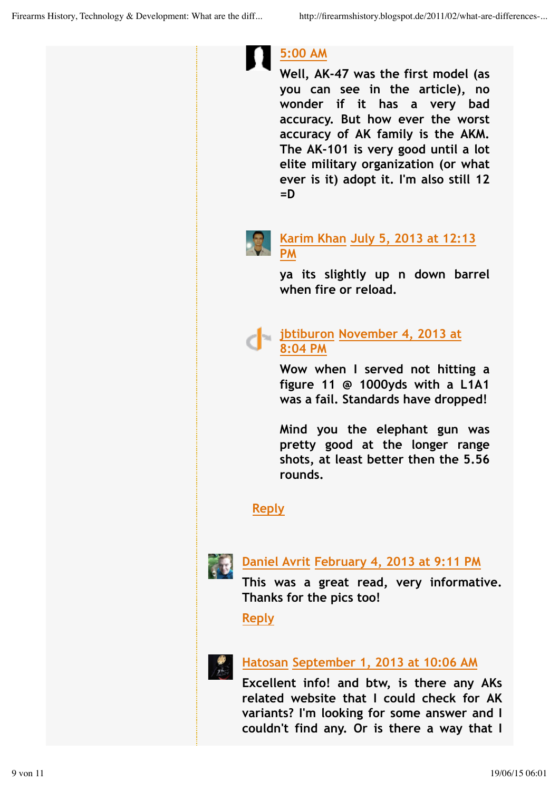

**Well, AK-47 was the first model (as you can see in the article), no wonder if it has a very bad accuracy. But how ever the worst accuracy of AK family is the AKM. The AK-101 is very good until a lot elite military organization (or what ever is it) adopt it. I'm also still 12 =D**



#### **Karim Khan July 5, 2013 at 12:13 PM**

**ya its slightly up n down barrel when fire or reload.**

#### **jbtiburon November 4, 2013 at 8:04 PM**

**Wow when I served not hitting a figure 11 @ 1000yds with a L1A1 was a fail. Standards have dropped!**

**Mind you the elephant gun was pretty good at the longer range shots, at least better then the 5.56 rounds.**

## **Reply**



## **Daniel Avrit February 4, 2013 at 9:11 PM**

**This was a great read, very informative. Thanks for the pics too!**

## **Reply**



#### **Hatosan September 1, 2013 at 10:06 AM**

**Excellent info! and btw, is there any AKs related website that I could check for AK variants? I'm looking for some answer and I couldn't find any. Or is there a way that I**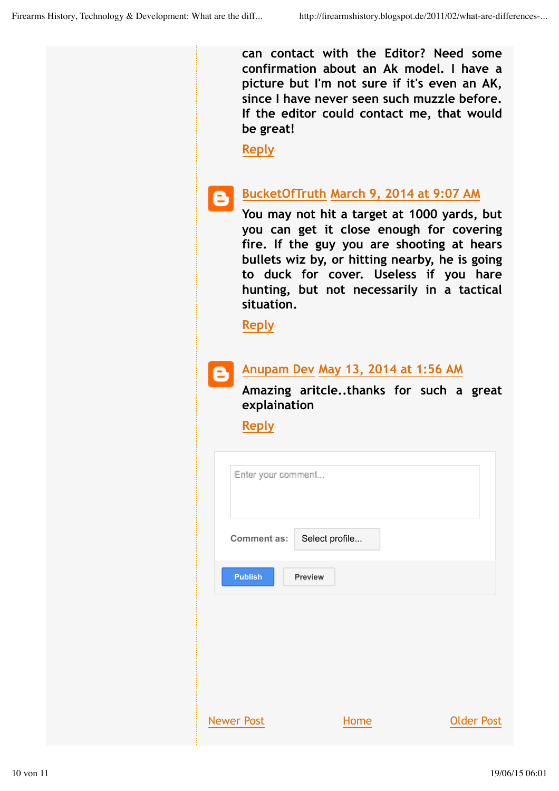**can contact with the Editor? Need some confirmation about an Ak model. I have a picture but I'm not sure if it's even an AK, since I have never seen such muzzle before. If the editor could contact me, that would be great!**

**Reply**

#### **BucketOfTruth March 9, 2014 at 9:07 AM** ê

**You may not hit a target at 1000 yards, but you can get it close enough for covering fire. If the guy you are shooting at hears bullets wiz by, or hitting nearby, he is going to duck for cover. Useless if you hare hunting, but not necessarily in a tactical situation.**

**Reply**

#### **Anupam Dev May 13, 2014 at 1:56 AM**

**Amazing aritcle..thanks for such a great explaination**

**Reply**

| Enter your comment |                |                   |
|--------------------|----------------|-------------------|
| <b>Comment as:</b> | Select profile |                   |
| <b>Publish</b>     | <b>Preview</b> |                   |
|                    |                |                   |
|                    |                |                   |
| <b>Newer Post</b>  | Home           | <b>Older Post</b> |